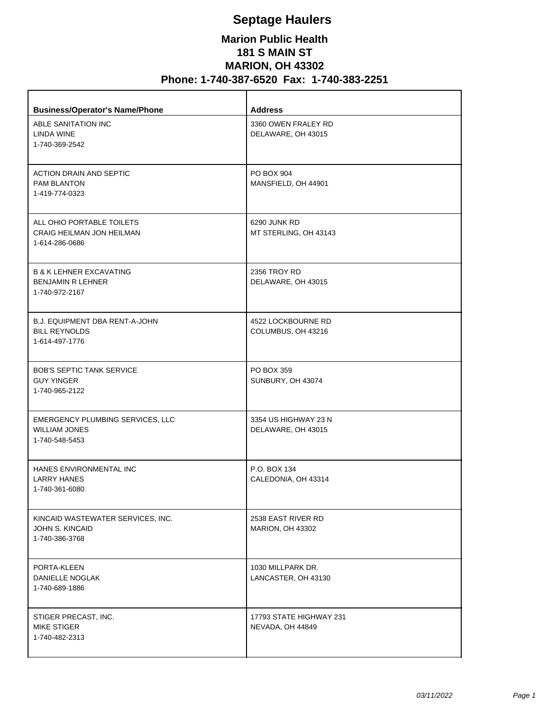## **Septage Haulers**

## **Marion Public Health 181 S MAIN ST MARION, OH 43302 Phone: 1-740-387-6520 Fax: 1-740-383-2251**

| <b>Business/Operator's Name/Phone</b>                                            | <b>Address</b>                              |
|----------------------------------------------------------------------------------|---------------------------------------------|
| ABLE SANITATION INC<br>LINDA WINE<br>1-740-369-2542                              | 3360 OWEN FRALEY RD<br>DELAWARE, OH 43015   |
| <b>ACTION DRAIN AND SEPTIC</b><br><b>PAM BLANTON</b><br>1-419-774-0323           | PO BOX 904<br>MANSFIELD, OH 44901           |
| ALL OHIO PORTABLE TOILETS<br>CRAIG HEILMAN JON HEILMAN<br>1-614-286-0686         | 6290 JUNK RD<br>MT STERLING, OH 43143       |
| <b>B &amp; K LEHNER EXCAVATING</b><br><b>BENJAMIN R LEHNER</b><br>1-740-972-2167 | 2356 TROY RD<br>DELAWARE, OH 43015          |
| <b>B.J. EQUIPMENT DBA RENT-A-JOHN</b><br><b>BILL REYNOLDS</b><br>1-614-497-1776  | 4522 LOCKBOURNE RD<br>COLUMBUS, OH 43216    |
| <b>BOB'S SEPTIC TANK SERVICE</b><br><b>GUY YINGER</b><br>1-740-965-2122          | PO BOX 359<br>SUNBURY, OH 43074             |
| EMERGENCY PLUMBING SERVICES, LLC<br><b>WILLIAM JONES</b><br>1-740-548-5453       | 3354 US HIGHWAY 23 N<br>DELAWARE, OH 43015  |
| HANES ENVIRONMENTAL INC<br>LARRY HANES<br>1-740-361-6080                         | P.O. BOX 134<br>CALEDONIA, OH 43314         |
| KINCAID WASTEWATER SERVICES, INC.<br>JOHN S. KINCAID<br>1-740-386-3768           | 2538 EAST RIVER RD<br>MARION, OH 43302      |
| PORTA-KLEEN<br>DANIELLE NOGLAK<br>1-740-689-1886                                 | 1030 MILLPARK DR.<br>LANCASTER, OH 43130    |
| STIGER PRECAST, INC.<br><b>MIKE STIGER</b><br>1-740-482-2313                     | 17793 STATE HIGHWAY 231<br>NEVADA, OH 44849 |